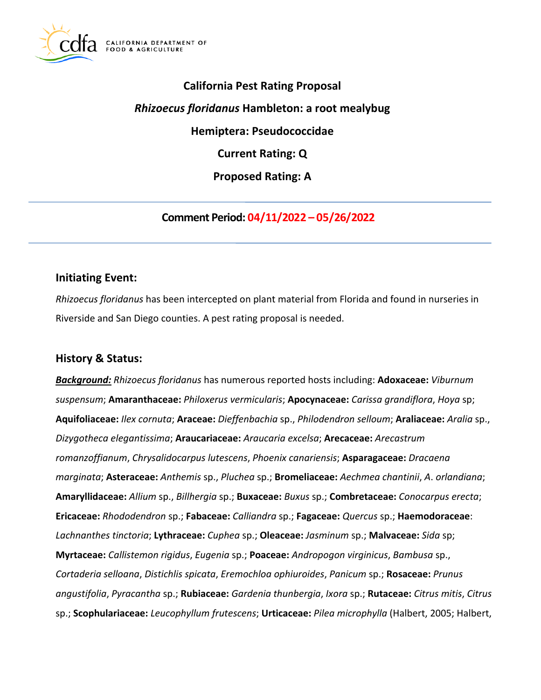

# **California Pest Rating Proposal**  *Rhizoecus floridanus* **Hambleton: a root mealybug Hemiptera: Pseudococcidae Current Rating: Q Proposed Rating: A**

**Comment Period: 04/11/2022 – 05/26/2022** 

# **Initiating Event:**

*Rhizoecus floridanus* has been intercepted on plant material from Florida and found in nurseries in Riverside and San Diego counties. A pest rating proposal is needed.

# **History & Status:**

*Background: Rhizoecus floridanus* has numerous reported hosts including: **Adoxaceae:** *Viburnum suspensum*; **Amaranthaceae:** *Philoxerus vermicularis*; **Apocynaceae:** *Carissa grandiflora*, *Hoya* sp; **Aquifoliaceae:** *Ilex cornuta*; **Araceae:** *Dieffenbachia* sp., *Philodendron selloum*; **Araliaceae:** *Aralia* sp., *Dizygotheca elegantissima*; **Araucariaceae:** *Araucaria excelsa*; **Arecaceae:** *Arecastrum romanzoffianum*, *Chrysalidocarpus lutescens*, *Phoenix canariensis*; **Asparagaceae:** *Dracaena marginata*; **Asteraceae:** *Anthemis* sp., *Pluchea* sp.; **Bromeliaceae:** *Aechmea chantinii*, *A*. *orlandiana*; **Amaryllidaceae:** *Allium* sp., *Billhergia* sp.; **Buxaceae:** *Buxus* sp.; **Combretaceae:** *Conocarpus erecta*; **Ericaceae:** *Rhododendron* sp.; **Fabaceae:** *Calliandra* sp.; **Fagaceae:** *Quercus* sp.; **Haemodoraceae**: *Lachnanthes tinctoria*; **Lythraceae:** *Cuphea* sp.; **Oleaceae:** *Jasminum* sp.; **Malvaceae:** *Sida* sp; **Myrtaceae:** *Callistemon rigidus*, *Eugenia* sp.; **Poaceae:** *Andropogon virginicus*, *Bambusa* sp., *Cortaderia selloana*, *Distichlis spicata*, *Eremochloa ophiuroides*, *Panicum* sp.; **Rosaceae:** *Prunus angustifolia*, *Pyracantha* sp.; **Rubiaceae:** *Gardenia thunbergia*, *Ixora* sp.; **Rutaceae:** *Citrus mitis*, *Citrus*  sp.; **Scophulariaceae:** *Leucophyllum frutescens*; **Urticaceae:** *Pilea microphylla* (Halbert, 2005; Halbert,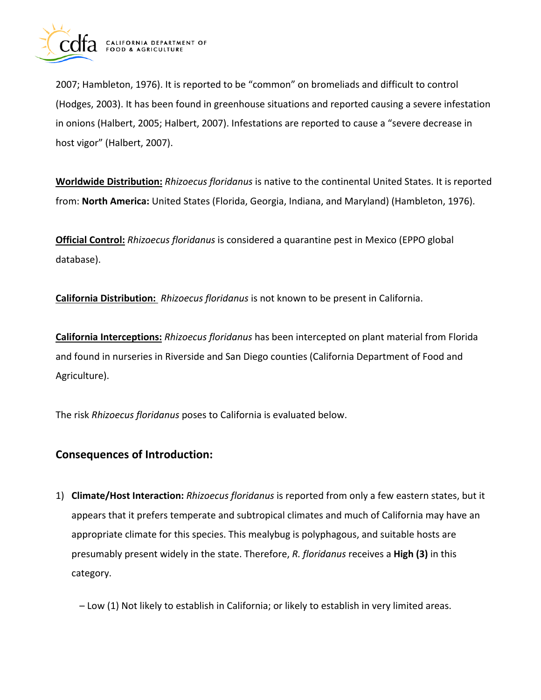

2007; Hambleton, 1976). It is reported to be "common" on bromeliads and difficult to control (Hodges, 2003). It has been found in greenhouse situations and reported causing a severe infestation in onions (Halbert, 2005; Halbert, 2007). Infestations are reported to cause a "severe decrease in host vigor" (Halbert, 2007).

**Worldwide Distribution:** *Rhizoecus floridanus* is native to the continental United States. It is reported from: **North America:** United States (Florida, Georgia, Indiana, and Maryland) (Hambleton, 1976).

**Official Control:** *Rhizoecus floridanus* is considered a quarantine pest in Mexico (EPPO global database).

**California Distribution:** *Rhizoecus floridanus* is not known to be present in California.

**California Interceptions:** *Rhizoecus floridanus* has been intercepted on plant material from Florida and found in nurseries in Riverside and San Diego counties (California Department of Food and Agriculture).

The risk *Rhizoecus floridanus* poses to California is evaluated below.

# **Consequences of Introduction:**

1) **Climate/Host Interaction:** *Rhizoecus floridanus* is reported from only a few eastern states, but it appears that it prefers temperate and subtropical climates and much of California may have an appropriate climate for this species. This mealybug is polyphagous, and suitable hosts are presumably present widely in the state. Therefore, *R. floridanus* receives a **High (3)** in this category.

– Low (1) Not likely to establish in California; or likely to establish in very limited areas.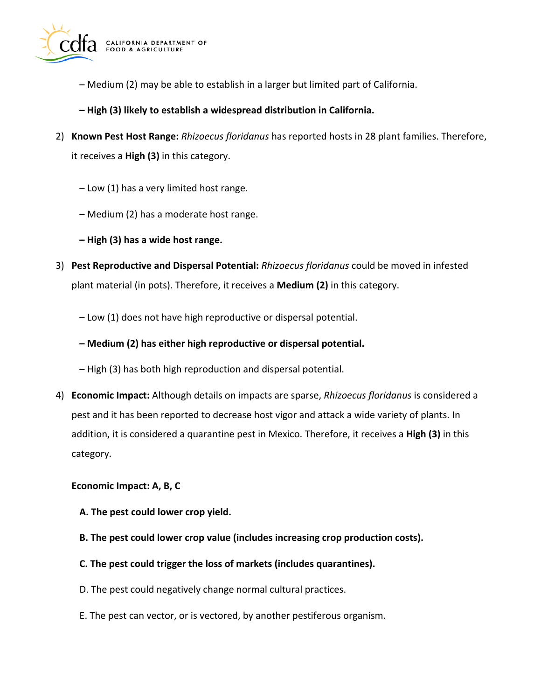

- Medium (2) may be able to establish in a larger but limited part of California.
- **High (3) likely to establish a widespread distribution in California.**
- 2) **Known Pest Host Range:** *Rhizoecus floridanus* has reported hosts in 28 plant families. Therefore, it receives a **High (3)** in this category.
	- Low (1) has a very limited host range.
	- Medium (2) has a moderate host range.
	- **High (3) has a wide host range.**
- 3) **Pest Reproductive and Dispersal Potential:** *Rhizoecus floridanus* could be moved in infested plant material (in pots). Therefore, it receives a **Medium (2)** in this category.
	- Low (1) does not have high reproductive or dispersal potential.
	- **Medium (2) has either high reproductive or dispersal potential.**
	- High (3) has both high reproduction and dispersal potential.
- 4) **Economic Impact:** Although details on impacts are sparse, *Rhizoecus floridanus* is considered a pest and it has been reported to decrease host vigor and attack a wide variety of plants. In addition, it is considered a quarantine pest in Mexico. Therefore, it receives a **High (3)** in this category.

#### **Economic Impact: A, B, C**

- **A. The pest could lower crop yield.**
- **B. The pest could lower crop value (includes increasing crop production costs).**
- **C. The pest could trigger the loss of markets (includes quarantines).**
- D. The pest could negatively change normal cultural practices.
- E. The pest can vector, or is vectored, by another pestiferous organism.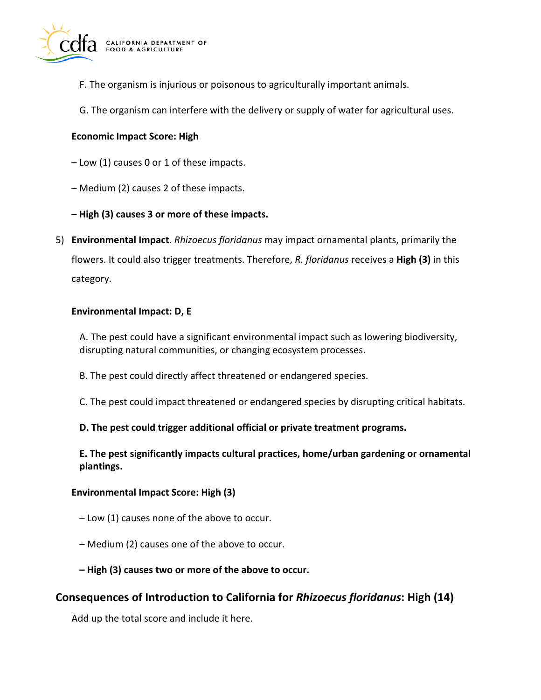

- F. The organism is injurious or poisonous to agriculturally important animals.
- G. The organism can interfere with the delivery or supply of water for agricultural uses.

#### **Economic Impact Score: High**

- Low (1) causes 0 or 1 of these impacts.
- Medium (2) causes 2 of these impacts.
- **High (3) causes 3 or more of these impacts.**
- 5) **Environmental Impact**. *Rhizoecus floridanus* may impact ornamental plants, primarily the flowers. It could also trigger treatments. Therefore, *R. floridanus* receives a **High (3)** in this category.

#### **Environmental Impact: D, E**

A. The pest could have a significant environmental impact such as lowering biodiversity, disrupting natural communities, or changing ecosystem processes.

- B. The pest could directly affect threatened or endangered species.
- C. The pest could impact threatened or endangered species by disrupting critical habitats.

#### **D. The pest could trigger additional official or private treatment programs.**

**E. The pest significantly impacts cultural practices, home/urban gardening or ornamental plantings.** 

#### **Environmental Impact Score: High (3)**

- Low (1) causes none of the above to occur.
- Medium (2) causes one of the above to occur.
- **High (3) causes two or more of the above to occur.**

## **Consequences of Introduction to California for** *Rhizoecus floridanus***: High (14)**

Add up the total score and include it here.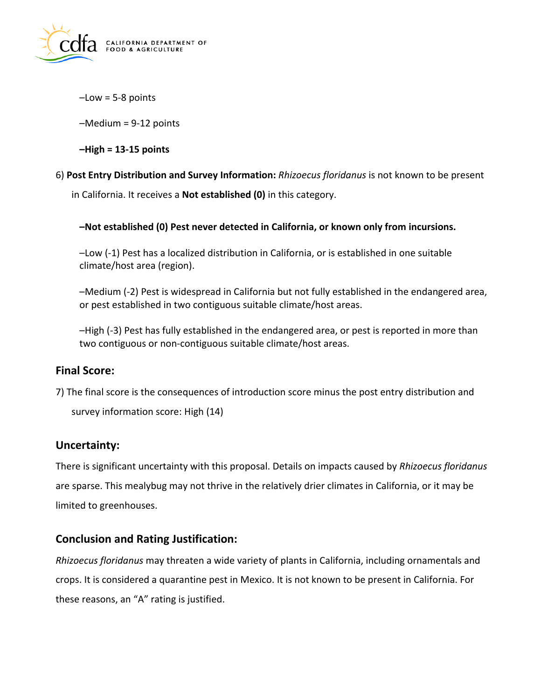

 $-Low = 5-8$  points

–Medium = 9-12 points

**–High = 13-15 points** 

6) **Post Entry Distribution and Survey Information:** *Rhizoecus floridanus* is not known to be present

in California. It receives a **Not established (0)** in this category.

### **–Not established (0) Pest never detected in California, or known only from incursions.**

–Low (-1) Pest has a localized distribution in California, or is established in one suitable climate/host area (region).

–Medium (-2) Pest is widespread in California but not fully established in the endangered area, or pest established in two contiguous suitable climate/host areas.

–High (-3) Pest has fully established in the endangered area, or pest is reported in more than two contiguous or non-contiguous suitable climate/host areas.

## **Final Score:**

7) The final score is the consequences of introduction score minus the post entry distribution and

survey information score: High (14)

# **Uncertainty:**

There is significant uncertainty with this proposal. Details on impacts caused by *Rhizoecus floridanus*  are sparse. This mealybug may not thrive in the relatively drier climates in California, or it may be limited to greenhouses.

# **Conclusion and Rating Justification:**

*Rhizoecus floridanus* may threaten a wide variety of plants in California, including ornamentals and crops. It is considered a quarantine pest in Mexico. It is not known to be present in California. For these reasons, an "A" rating is justified.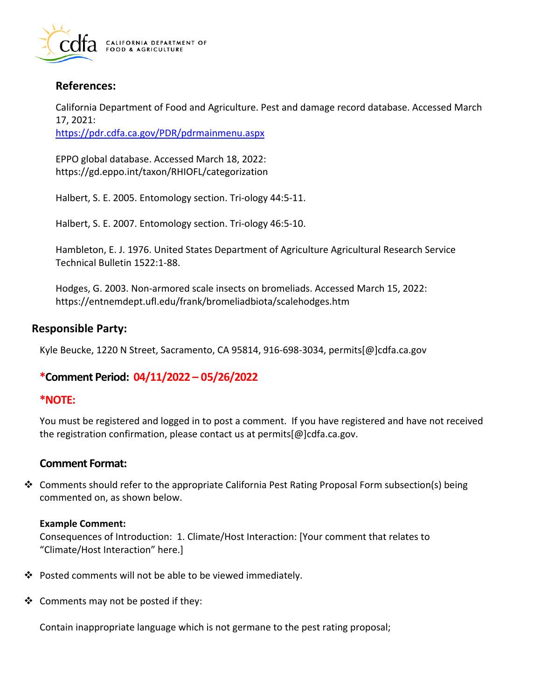

# **References:**

California Department of Food and Agriculture. Pest and damage record database. Accessed March 17, 2021:

<https://pdr.cdfa.ca.gov/PDR/pdrmainmenu.aspx>

EPPO global database. Accessed March 18, 2022: <https://gd.eppo.int/taxon/RHIOFL/categorization>

Halbert, S. E. 2005. Entomology section. Tri-ology 44:5-11.

Halbert, S. E. 2007. Entomology section. Tri-ology 46:5-10.

Hambleton, E. J. 1976. United States Department of Agriculture Agricultural Research Service Technical Bulletin 1522:1-88.

Hodges, G. 2003. Non-armored scale insects on bromeliads. Accessed March 15, 2022: <https://entnemdept.ufl.edu/frank/bromeliadbiota/scalehodges.htm>

## **Responsible Party:**

Kyle Beucke, 1220 N Street, Sacramento, CA 95814, 916-698-3034, [permits\[@\]cdfa.ca.gov](https://permits[@]cdfa.ca.gov) 

# **\*Comment Period: 04/11/2022 – 05/26/2022**

## **\*NOTE:**

You must be registered and logged in to post a comment. If you have registered and have not received the registration confirmation, please contact us at [permits\[@\]cdfa.ca.gov](https://permits[@]cdfa.ca.gov).

## **Comment Format:**

 $\clubsuit$  Comments should refer to the appropriate California Pest Rating Proposal Form subsection(s) being commented on, as shown below.

#### **Example Comment:**

Consequences of Introduction: 1. Climate/Host Interaction: [Your comment that relates to "Climate/Host Interaction" here.]

- Posted comments will not be able to be viewed immediately.
- $\triangleleft$  Comments may not be posted if they:

Contain inappropriate language which is not germane to the pest rating proposal;